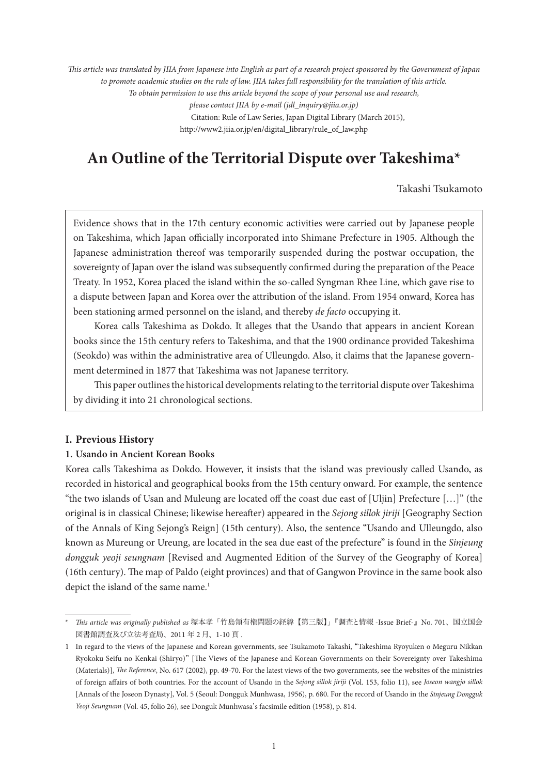*This article was translated by JIIA from Japanese into English as part of a research project sponsored by the Government of Japan to promote academic studies on the rule of law. JIIA takes full responsibility for the translation of this article. To obtain permission to use this article beyond the scope of your personal use and research, please contact JIIA by e-mail (jdl\_inquiry@jiia.or.jp)* Citation: Rule of Law Series, Japan Digital Library (March 2015), http://www2.jiia.or.jp/en/digital\_library/rule\_of\_law.php

# **An Outline of the Territorial Dispute over Takeshima\***

Takashi Tsukamoto

Evidence shows that in the 17th century economic activities were carried out by Japanese people on Takeshima, which Japan officially incorporated into Shimane Prefecture in 1905. Although the Japanese administration thereof was temporarily suspended during the postwar occupation, the sovereignty of Japan over the island was subsequently confirmed during the preparation of the Peace Treaty. In 1952, Korea placed the island within the so-called Syngman Rhee Line, which gave rise to a dispute between Japan and Korea over the attribution of the island. From 1954 onward, Korea has been stationing armed personnel on the island, and thereby *de facto* occupying it.

Korea calls Takeshima as Dokdo. It alleges that the Usando that appears in ancient Korean books since the 15th century refers to Takeshima, and that the 1900 ordinance provided Takeshima (Seokdo) was within the administrative area of Ulleungdo. Also, it claims that the Japanese government determined in 1877 that Takeshima was not Japanese territory.

This paper outlines the historical developments relating to the territorial dispute over Takeshima by dividing it into 21 chronological sections.

# **I. Previous History**

# **1. Usando in Ancient Korean Books**

Korea calls Takeshima as Dokdo. However, it insists that the island was previously called Usando, as recorded in historical and geographical books from the 15th century onward. For example, the sentence "the two islands of Usan and Muleung are located off the coast due east of [Uljin] Prefecture […]" (the original is in classical Chinese; likewise hereafter) appeared in the *Sejong sillok jiriji* [Geography Section of the Annals of King Sejong's Reign] (15th century). Also, the sentence "Usando and Ulleungdo, also known as Mureung or Ureung, are located in the sea due east of the prefecture" is found in the *Sinjeung dongguk yeoji seungnam* [Revised and Augmented Edition of the Survey of the Geography of Korea] (16th century). The map of Paldo (eight provinces) and that of Gangwon Province in the same book also depict the island of the same name.<sup>1</sup>

<sup>\*</sup> *This article was originally published as* 塚本孝「竹島領有権問題の経緯【第三版】」『調査と情報 -Issue Brief-』No. 701、国立国会 図書館調査及び立法考査局、2011 年 2 月、1-10 頁 .

<sup>1</sup> In regard to the views of the Japanese and Korean governments, see Tsukamoto Takashi, "Takeshima Ryoyuken o Meguru Nikkan Ryokoku Seifu no Kenkai (Shiryo)" [The Views of the Japanese and Korean Governments on their Sovereignty over Takeshima (Materials)], *The Reference*, No. 617 (2002), pp. 49-70. For the latest views of the two governments, see the websites of the ministries of foreign affairs of both countries. For the account of Usando in the *Sejong sillok jiriji* (Vol. 153, folio 11), see *Joseon wangjo sillok* [Annals of the Joseon Dynasty], Vol. 5 (Seoul: Dongguk Munhwasa, 1956), p. 680. For the record of Usando in the *Sinjeung Dongguk Yeoji Seungnam* (Vol. 45, folio 26), see Donguk Munhwasa's facsimile edition (1958), p. 814.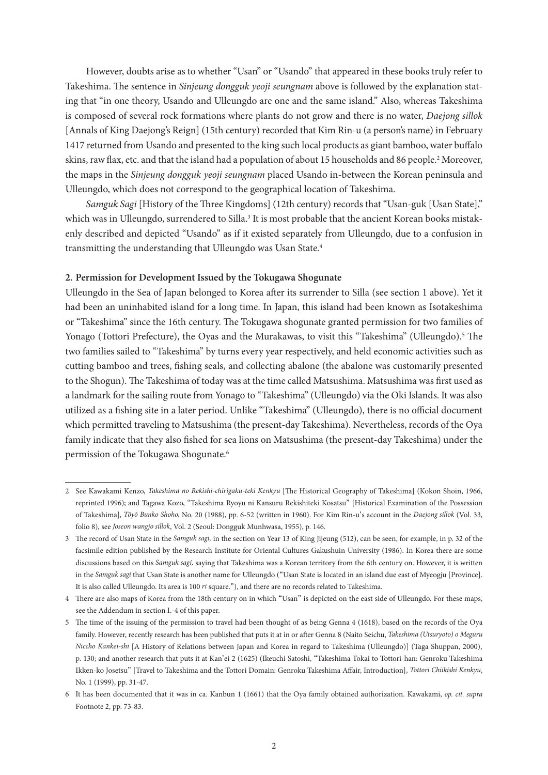However, doubts arise as to whether "Usan" or "Usando" that appeared in these books truly refer to Takeshima. The sentence in *Sinjeung dongguk yeoji seungnam* above is followed by the explanation stating that "in one theory, Usando and Ulleungdo are one and the same island." Also, whereas Takeshima is composed of several rock formations where plants do not grow and there is no water, *Daejong sillok* [Annals of King Daejong's Reign] (15th century) recorded that Kim Rin-u (a person's name) in February 1417 returned from Usando and presented to the king such local products as giant bamboo, water buffalo skins, raw flax, etc. and that the island had a population of about 15 households and 86 people.<sup>2</sup> Moreover, the maps in the *Sinjeung dongguk yeoji seungnam* placed Usando in-between the Korean peninsula and Ulleungdo, which does not correspond to the geographical location of Takeshima.

*Samguk Sagi* [History of the Three Kingdoms] (12th century) records that "Usan-guk [Usan State]," which was in Ulleungdo, surrendered to Silla.<sup>3</sup> It is most probable that the ancient Korean books mistakenly described and depicted "Usando" as if it existed separately from Ulleungdo, due to a confusion in transmitting the understanding that Ulleungdo was Usan State.4

## **2. Permission for Development Issued by the Tokugawa Shogunate**

Ulleungdo in the Sea of Japan belonged to Korea after its surrender to Silla (see section 1 above). Yet it had been an uninhabited island for a long time. In Japan, this island had been known as Isotakeshima or "Takeshima" since the 16th century. The Tokugawa shogunate granted permission for two families of Yonago (Tottori Prefecture), the Oyas and the Murakawas, to visit this "Takeshima" (Ulleungdo).<sup>5</sup> The two families sailed to "Takeshima" by turns every year respectively, and held economic activities such as cutting bamboo and trees, fishing seals, and collecting abalone (the abalone was customarily presented to the Shogun). The Takeshima of today was at the time called Matsushima. Matsushima was first used as a landmark for the sailing route from Yonago to "Takeshima" (Ulleungdo) via the Oki Islands. It was also utilized as a fishing site in a later period. Unlike "Takeshima" (Ulleungdo), there is no official document which permitted traveling to Matsushima (the present-day Takeshima). Nevertheless, records of the Oya family indicate that they also fished for sea lions on Matsushima (the present-day Takeshima) under the permission of the Tokugawa Shogunate.6

<sup>2</sup> See Kawakami Kenzo, *Takeshima no Rekishi-chirigaku-teki Kenkyu* [The Historical Geography of Takeshima] (Kokon Shoin, 1966, reprinted 1996); and Tagawa Kozo, "Takeshima Ryoyu ni Kansuru Rekishiteki Kosatsu" [Historical Examination of the Possession of Takeshima], *Tōyō Bunko Shoho,* No. 20 (1988), pp. 6-52 (written in 1960). For Kim Rin-u's account in the *Daejong sillok* (Vol. 33, folio 8), see *Joseon wangjo sillok*, Vol. 2 (Seoul: Dongguk Munhwasa, 1955), p. 146.

<sup>3</sup> The record of Usan State in the *Samguk sagi,* in the section on Year 13 of King Jijeung (512), can be seen, for example, in p. 32 of the facsimile edition published by the Research Institute for Oriental Cultures Gakushuin University (1986). In Korea there are some discussions based on this *Samguk sagi,* saying that Takeshima was a Korean territory from the 6th century on. However, it is written in the *Samguk sagi* that Usan State is another name for Ulleungdo ("Usan State is located in an island due east of Myeogju [Province]. It is also called Ulleungdo. Its area is 100 *ri* square."), and there are no records related to Takeshima.

<sup>4</sup> There are also maps of Korea from the 18th century on in which "Usan" is depicted on the east side of Ulleungdo. For these maps, see the Addendum in section I.-4 of this paper.

<sup>5</sup> The time of the issuing of the permission to travel had been thought of as being Genna 4 (1618), based on the records of the Oya family. However, recently research has been published that puts it at in or after Genna 8 (Naito Seichu, *Takeshima (Utsuryoto) o Meguru Niccho Kankei-shi* [A History of Relations between Japan and Korea in regard to Takeshima (Ulleungdo)] (Taga Shuppan, 2000), p. 130; and another research that puts it at Kan'ei 2 (1625) (Ikeuchi Satoshi, "Takeshima Tokai to Tottori-han: Genroku Takeshima Ikken-ko Josetsu" [Travel to Takeshima and the Tottori Domain: Genroku Takeshima Affair, Introduction], *Tottori Chiikishi Kenkyu*, No. 1 (1999), pp. 31-47.

<sup>6</sup> It has been documented that it was in ca. Kanbun 1 (1661) that the Oya family obtained authorization. Kawakami, *op. cit. supra* Footnote 2, pp. 73-83.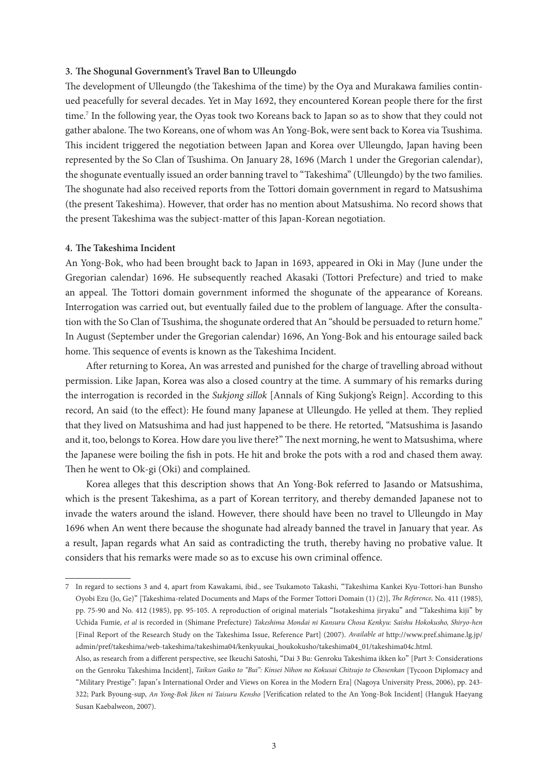## **3. The Shogunal Government's Travel Ban to Ulleungdo**

The development of Ulleungdo (the Takeshima of the time) by the Oya and Murakawa families continued peacefully for several decades. Yet in May 1692, they encountered Korean people there for the first time.<sup>7</sup> In the following year, the Oyas took two Koreans back to Japan so as to show that they could not gather abalone. The two Koreans, one of whom was An Yong-Bok, were sent back to Korea via Tsushima. This incident triggered the negotiation between Japan and Korea over Ulleungdo, Japan having been represented by the So Clan of Tsushima. On January 28, 1696 (March 1 under the Gregorian calendar), the shogunate eventually issued an order banning travel to "Takeshima" (Ulleungdo) by the two families. The shogunate had also received reports from the Tottori domain government in regard to Matsushima (the present Takeshima). However, that order has no mention about Matsushima. No record shows that the present Takeshima was the subject-matter of this Japan-Korean negotiation.

## **4. The Takeshima Incident**

An Yong-Bok, who had been brought back to Japan in 1693, appeared in Oki in May (June under the Gregorian calendar) 1696. He subsequently reached Akasaki (Tottori Prefecture) and tried to make an appeal. The Tottori domain government informed the shogunate of the appearance of Koreans. Interrogation was carried out, but eventually failed due to the problem of language. After the consultation with the So Clan of Tsushima, the shogunate ordered that An "should be persuaded to return home." In August (September under the Gregorian calendar) 1696, An Yong-Bok and his entourage sailed back home. This sequence of events is known as the Takeshima Incident.

After returning to Korea, An was arrested and punished for the charge of travelling abroad without permission. Like Japan, Korea was also a closed country at the time. A summary of his remarks during the interrogation is recorded in the *Sukjong sillok* [Annals of King Sukjong's Reign]. According to this record, An said (to the effect): He found many Japanese at Ulleungdo. He yelled at them. They replied that they lived on Matsushima and had just happened to be there. He retorted, "Matsushima is Jasando and it, too, belongs to Korea. How dare you live there?" The next morning, he went to Matsushima, where the Japanese were boiling the fish in pots. He hit and broke the pots with a rod and chased them away. Then he went to Ok-gi (Oki) and complained.

Korea alleges that this description shows that An Yong-Bok referred to Jasando or Matsushima, which is the present Takeshima, as a part of Korean territory, and thereby demanded Japanese not to invade the waters around the island. However, there should have been no travel to Ulleungdo in May 1696 when An went there because the shogunate had already banned the travel in January that year. As a result, Japan regards what An said as contradicting the truth, thereby having no probative value. It considers that his remarks were made so as to excuse his own criminal offence.

<sup>7</sup> In regard to sections 3 and 4, apart from Kawakami, ibid., see Tsukamoto Takashi, "Takeshima Kankei Kyu-Tottori-han Bunsho Oyobi Ezu (Jo, Ge)" [Takeshima-related Documents and Maps of the Former Tottori Domain (1) (2)], *The Reference,* No. 411 (1985), pp. 75-90 and No. 412 (1985), pp. 95-105. A reproduction of original materials "Isotakeshima jiryaku" and "Takeshima kiji" by Uchida Fumie, *et al* is recorded in (Shimane Prefecture) *Takeshima Mondai ni Kansuru Chosa Kenkyu: Saishu Hokokusho, Shiryo-hen*  [Final Report of the Research Study on the Takeshima Issue, Reference Part] (2007). *Available at* http://www.pref.shimane.lg.jp/ admin/pref/takeshima/web-takeshima/takeshima04/kenkyuukai\_houkokusho/takeshima04\_01/takeshima04c.html.

Also, as research from a different perspective, see Ikeuchi Satoshi, "Dai 3 Bu: Genroku Takeshima ikken ko" [Part 3: Considerations on the Genroku Takeshima Incident], *Taikun Gaiko to "Bui": Kinsei Nihon no Kokusai Chitsujo to Chosenkan* [Tycoon Diplomacy and "Military Prestige": Japan's International Order and Views on Korea in the Modern Era] (Nagoya University Press, 2006), pp. 243- 322; Park Byoung-sup, *An Yong-Bok Jiken ni Taisuru Kensho* [Verification related to the An Yong-Bok Incident] (Hanguk Haeyang Susan Kaebalweon, 2007).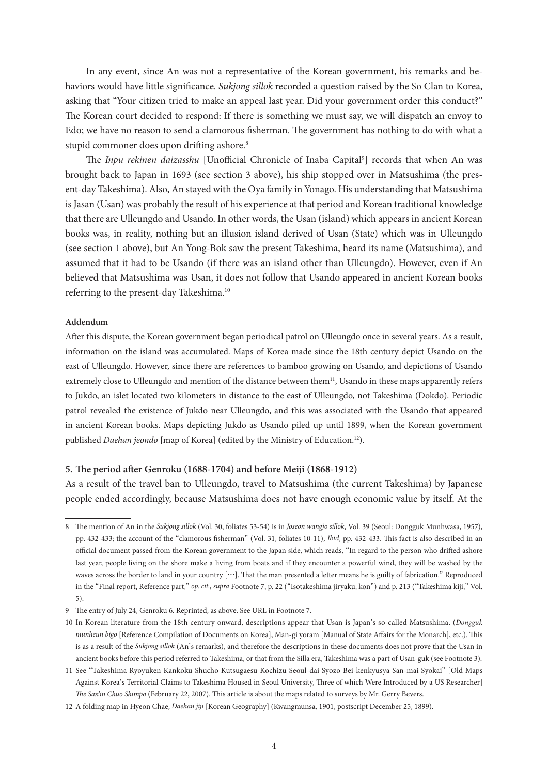In any event, since An was not a representative of the Korean government, his remarks and behaviors would have little significance. *Sukjong sillok* recorded a question raised by the So Clan to Korea, asking that "Your citizen tried to make an appeal last year. Did your government order this conduct?" The Korean court decided to respond: If there is something we must say, we will dispatch an envoy to Edo; we have no reason to send a clamorous fisherman. The government has nothing to do with what a stupid commoner does upon drifting ashore.<sup>8</sup>

The Inpu rekinen daizasshu [Unofficial Chronicle of Inaba Capital<sup>9</sup>] records that when An was brought back to Japan in 1693 (see section 3 above), his ship stopped over in Matsushima (the present-day Takeshima). Also, An stayed with the Oya family in Yonago. His understanding that Matsushima is Jasan (Usan) was probably the result of his experience at that period and Korean traditional knowledge that there are Ulleungdo and Usando. In other words, the Usan (island) which appears in ancient Korean books was, in reality, nothing but an illusion island derived of Usan (State) which was in Ulleungdo (see section 1 above), but An Yong-Bok saw the present Takeshima, heard its name (Matsushima), and assumed that it had to be Usando (if there was an island other than Ulleungdo). However, even if An believed that Matsushima was Usan, it does not follow that Usando appeared in ancient Korean books referring to the present-day Takeshima.10

#### **Addendum**

After this dispute, the Korean government began periodical patrol on Ulleungdo once in several years. As a result, information on the island was accumulated. Maps of Korea made since the 18th century depict Usando on the east of Ulleungdo. However, since there are references to bamboo growing on Usando, and depictions of Usando extremely close to Ulleungdo and mention of the distance between them<sup>11</sup>, Usando in these maps apparently refers to Jukdo, an islet located two kilometers in distance to the east of Ulleungdo, not Takeshima (Dokdo). Periodic patrol revealed the existence of Jukdo near Ulleungdo, and this was associated with the Usando that appeared in ancient Korean books. Maps depicting Jukdo as Usando piled up until 1899, when the Korean government published *Daehan jeondo* [map of Korea] (edited by the Ministry of Education.12).

#### **5. The period after Genroku (1688-1704) and before Meiji (1868-1912)**

As a result of the travel ban to Ulleungdo, travel to Matsushima (the current Takeshima) by Japanese people ended accordingly, because Matsushima does not have enough economic value by itself. At the

<sup>8</sup> The mention of An in the *Sukjong sillok* (Vol. 30, foliates 53-54) is in *Joseon wangjo sillok*, Vol. 39 (Seoul: Dongguk Munhwasa, 1957), pp. 432-433; the account of the "clamorous fisherman" (Vol. 31, foliates 10-11), *Ibid*, pp. 432-433. This fact is also described in an official document passed from the Korean government to the Japan side, which reads, "In regard to the person who drifted ashore last year, people living on the shore make a living from boats and if they encounter a powerful wind, they will be washed by the waves across the border to land in your country […]. That the man presented a letter means he is guilty of fabrication." Reproduced in the "Final report, Reference part," *op. cit., supra* Footnote 7, p. 22 ("Isotakeshima jiryaku, kon") and p. 213 ("Takeshima kiji," Vol. 5).

<sup>9</sup> The entry of July 24, Genroku 6. Reprinted, as above. See URL in Footnote 7.

<sup>10</sup> In Korean literature from the 18th century onward, descriptions appear that Usan is Japan's so-called Matsushima. (*Dongguk munheun bigo* [Reference Compilation of Documents on Korea], Man-gi yoram [Manual of State Affairs for the Monarch], etc.). This is as a result of the *Sukjong sillok* (An's remarks), and therefore the descriptions in these documents does not prove that the Usan in ancient books before this period referred to Takeshima, or that from the Silla era, Takeshima was a part of Usan-guk (see Footnote 3).

<sup>11</sup> See "Takeshima Ryoyuken Kankoku Shucho Kutsugaesu Kochizu Seoul-dai Syozo Bei-kenkyusya San-mai Syokai" [Old Maps Against Korea's Territorial Claims to Takeshima Housed in Seoul University, Three of which Were Introduced by a US Researcher] *The San'in Chuo Shimpo* (February 22, 2007). This article is about the maps related to surveys by Mr. Gerry Bevers.

<sup>12</sup> A folding map in Hyeon Chae, *Daehan jiji* [Korean Geography] (Kwangmunsa, 1901, postscript December 25, 1899).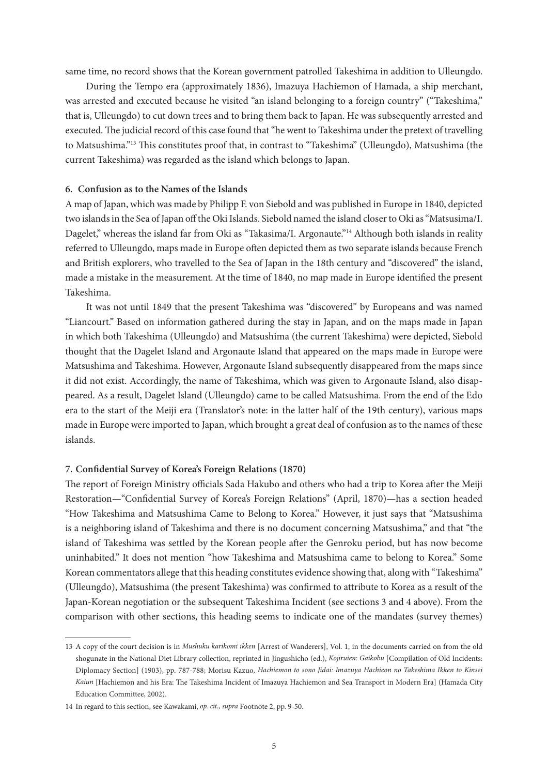same time, no record shows that the Korean government patrolled Takeshima in addition to Ulleungdo.

During the Tempo era (approximately 1836), Imazuya Hachiemon of Hamada, a ship merchant, was arrested and executed because he visited "an island belonging to a foreign country" ("Takeshima," that is, Ulleungdo) to cut down trees and to bring them back to Japan. He was subsequently arrested and executed. The judicial record of this case found that "he went to Takeshima under the pretext of travelling to Matsushima."13 This constitutes proof that, in contrast to "Takeshima" (Ulleungdo), Matsushima (the current Takeshima) was regarded as the island which belongs to Japan.

# **6. Confusion as to the Names of the Islands**

A map of Japan, which was made by Philipp F. von Siebold and was published in Europe in 1840, depicted two islands in the Sea of Japan off the Oki Islands. Siebold named the island closer to Oki as "Matsusima/I. Dagelet," whereas the island far from Oki as "Takasima/I. Argonaute."<sup>14</sup> Although both islands in reality referred to Ulleungdo, maps made in Europe often depicted them as two separate islands because French and British explorers, who travelled to the Sea of Japan in the 18th century and "discovered" the island, made a mistake in the measurement. At the time of 1840, no map made in Europe identified the present Takeshima.

It was not until 1849 that the present Takeshima was "discovered" by Europeans and was named "Liancourt." Based on information gathered during the stay in Japan, and on the maps made in Japan in which both Takeshima (Ulleungdo) and Matsushima (the current Takeshima) were depicted, Siebold thought that the Dagelet Island and Argonaute Island that appeared on the maps made in Europe were Matsushima and Takeshima. However, Argonaute Island subsequently disappeared from the maps since it did not exist. Accordingly, the name of Takeshima, which was given to Argonaute Island, also disappeared. As a result, Dagelet Island (Ulleungdo) came to be called Matsushima. From the end of the Edo era to the start of the Meiji era (Translator's note: in the latter half of the 19th century), various maps made in Europe were imported to Japan, which brought a great deal of confusion as to the names of these islands.

## **7. Confidential Survey of Korea's Foreign Relations (1870)**

The report of Foreign Ministry officials Sada Hakubo and others who had a trip to Korea after the Meiji Restoration—"Confidential Survey of Korea's Foreign Relations" (April, 1870)—has a section headed "How Takeshima and Matsushima Came to Belong to Korea." However, it just says that "Matsushima is a neighboring island of Takeshima and there is no document concerning Matsushima," and that "the island of Takeshima was settled by the Korean people after the Genroku period, but has now become uninhabited." It does not mention "how Takeshima and Matsushima came to belong to Korea." Some Korean commentators allege that this heading constitutes evidence showing that, along with "Takeshima" (Ulleungdo), Matsushima (the present Takeshima) was confirmed to attribute to Korea as a result of the Japan-Korean negotiation or the subsequent Takeshima Incident (see sections 3 and 4 above). From the comparison with other sections, this heading seems to indicate one of the mandates (survey themes)

<sup>13</sup> A copy of the court decision is in *Mushuku karikomi ikken* [Arrest of Wanderers], Vol. 1, in the documents carried on from the old shogunate in the National Diet Library collection, reprinted in Jingushicho (ed.), *Kojiruien: Gaikobu* [Compilation of Old Incidents: Diplomacy Section] (1903), pp. 787-788; Morisu Kazuo, *Hachiemon to sono Jidai: Imazuya Hachieon no Takeshima Ikken to Kinsei Kaiun* [Hachiemon and his Era: The Takeshima Incident of Imazuya Hachiemon and Sea Transport in Modern Era] (Hamada City Education Committee, 2002).

<sup>14</sup> In regard to this section, see Kawakami, *op. cit., supra* Footnote 2, pp. 9-50.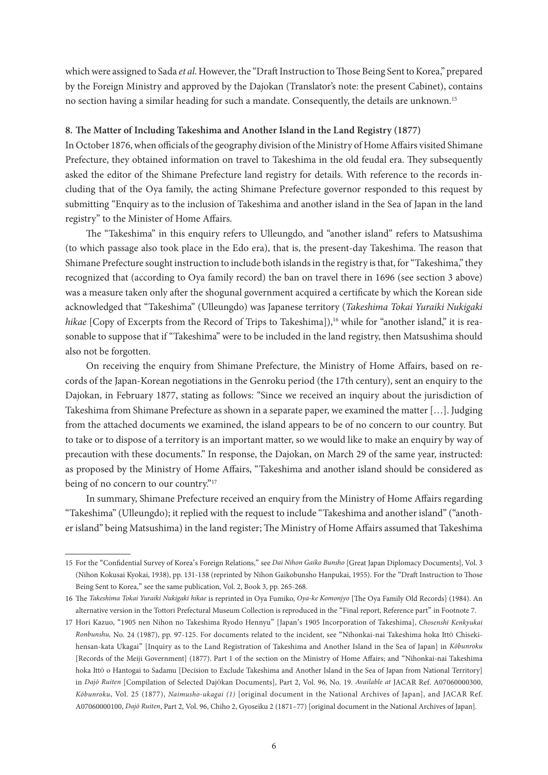which were assigned to Sada *et al*. However, the "Draft Instruction to Those Being Sent to Korea," prepared by the Foreign Ministry and approved by the Dajokan (Translator's note: the present Cabinet), contains no section having a similar heading for such a mandate. Consequently, the details are unknown.15

# **8. The Matter of Including Takeshima and Another Island in the Land Registry (1877)**

In October 1876, when officials of the geography division of the Ministry of Home Affairs visited Shimane Prefecture, they obtained information on travel to Takeshima in the old feudal era. They subsequently asked the editor of the Shimane Prefecture land registry for details. With reference to the records including that of the Oya family, the acting Shimane Prefecture governor responded to this request by submitting "Enquiry as to the inclusion of Takeshima and another island in the Sea of Japan in the land registry" to the Minister of Home Affairs.

The "Takeshima" in this enquiry refers to Ulleungdo, and "another island" refers to Matsushima (to which passage also took place in the Edo era), that is, the present-day Takeshima. The reason that Shimane Prefecture sought instruction to include both islands in the registry is that, for "Takeshima," they recognized that (according to Oya family record) the ban on travel there in 1696 (see section 3 above) was a measure taken only after the shogunal government acquired a certificate by which the Korean side acknowledged that "Takeshima" (Ulleungdo) was Japanese territory (*Takeshima Tokai Yuraiki Nukigaki hikae* [Copy of Excerpts from the Record of Trips to Takeshima]),<sup>16</sup> while for "another island," it is reasonable to suppose that if "Takeshima" were to be included in the land registry, then Matsushima should also not be forgotten.

On receiving the enquiry from Shimane Prefecture, the Ministry of Home Affairs, based on records of the Japan-Korean negotiations in the Genroku period (the 17th century), sent an enquiry to the Dajokan, in February 1877, stating as follows: "Since we received an inquiry about the jurisdiction of Takeshima from Shimane Prefecture as shown in a separate paper, we examined the matter […]. Judging from the attached documents we examined, the island appears to be of no concern to our country. But to take or to dispose of a territory is an important matter, so we would like to make an enquiry by way of precaution with these documents." In response, the Dajokan, on March 29 of the same year, instructed: as proposed by the Ministry of Home Affairs, "Takeshima and another island should be considered as being of no concern to our country."17

In summary, Shimane Prefecture received an enquiry from the Ministry of Home Affairs regarding "Takeshima" (Ulleungdo); it replied with the request to include "Takeshima and another island" ("another island" being Matsushima) in the land register; The Ministry of Home Affairs assumed that Takeshima

<sup>15</sup> For the "Confidential Survey of Korea's Foreign Relations," see *Dai Nihon Gaiko Bunsho* [Great Japan Diplomacy Documents], Vol. 3 (Nihon Kokusai Kyokai, 1938), pp. 131-138 (reprinted by Nihon Gaikobunsho Hanpukai, 1955). For the "Draft Instruction to Those Being Sent to Korea," see the same publication, Vol. 2, Book 3, pp. 265-268.

<sup>16</sup> The *Takeshima Tokai Yuraiki Nukigaki hikae* is reprinted in Oya Fumiko, *Oya-ke Komonjyo* [The Oya Family Old Records] (1984). An alternative version in the Tottori Prefectural Museum Collection is reproduced in the "Final report, Reference part" in Footnote 7.

<sup>17</sup> Hori Kazuo, "1905 nen Nihon no Takeshima Ryodo Hennyu" [Japan's 1905 Incorporation of Takeshima], *Chosenshi Kenkyukai Ronbunshu,* No. 24 (1987), pp. 97-125. For documents related to the incident, see "Nihonkai-nai Takeshima hoka Ittō Chisekihensan-kata Ukagai" [Inquiry as to the Land Registration of Takeshima and Another Island in the Sea of Japan] in *Kōbunroku* [Records of the Meiji Government] (1877). Part 1 of the section on the Ministry of Home Affairs; and "Nihonkai-nai Takeshima hoka Ittō o Hantogai to Sadamu [Decision to Exclude Takeshima and Another Island in the Sea of Japan from National Territory] in *Dajō Ruiten* [Compilation of Selected Dajōkan Documents], Part 2, Vol. 96, No. 19. *Available at* JACAR Ref. A07060000300, *Kōbunroku*, Vol. 25 (1877), *Naimusho-ukagai (1)* [original document in the National Archives of Japan], and JACAR Ref. A07060000100, *Dajō Ruiten*, Part 2, Vol. 96, Chiho 2, Gyoseiku 2 (1871–77) [original document in the National Archives of Japan].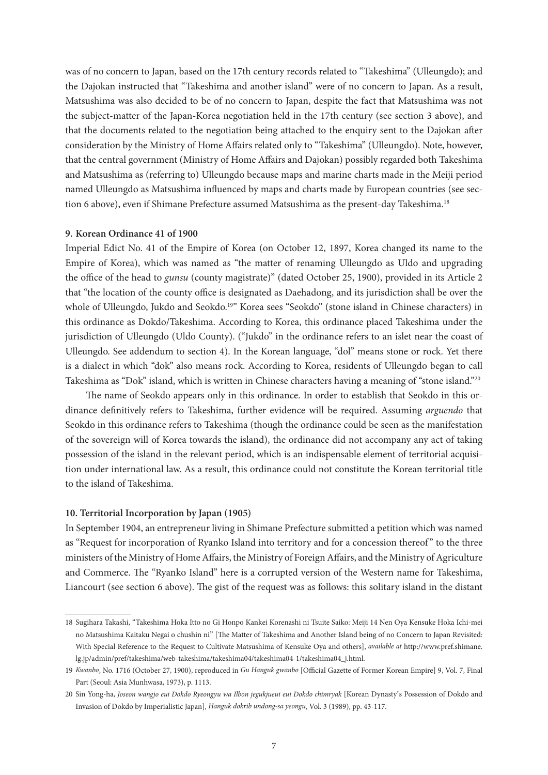was of no concern to Japan, based on the 17th century records related to "Takeshima" (Ulleungdo); and the Dajokan instructed that "Takeshima and another island" were of no concern to Japan. As a result, Matsushima was also decided to be of no concern to Japan, despite the fact that Matsushima was not the subject-matter of the Japan-Korea negotiation held in the 17th century (see section 3 above), and that the documents related to the negotiation being attached to the enquiry sent to the Dajokan after consideration by the Ministry of Home Affairs related only to "Takeshima" (Ulleungdo). Note, however, that the central government (Ministry of Home Affairs and Dajokan) possibly regarded both Takeshima and Matsushima as (referring to) Ulleungdo because maps and marine charts made in the Meiji period named Ulleungdo as Matsushima influenced by maps and charts made by European countries (see section 6 above), even if Shimane Prefecture assumed Matsushima as the present-day Takeshima.<sup>18</sup>

### **9. Korean Ordinance 41 of 1900**

Imperial Edict No. 41 of the Empire of Korea (on October 12, 1897, Korea changed its name to the Empire of Korea), which was named as "the matter of renaming Ulleungdo as Uldo and upgrading the office of the head to *gunsu* (county magistrate)" (dated October 25, 1900), provided in its Article 2 that "the location of the county office is designated as Daehadong, and its jurisdiction shall be over the whole of Ulleungdo, Jukdo and Seokdo.<sup>19"</sup> Korea sees "Seokdo" (stone island in Chinese characters) in this ordinance as Dokdo/Takeshima. According to Korea, this ordinance placed Takeshima under the jurisdiction of Ulleungdo (Uldo County). ("Jukdo" in the ordinance refers to an islet near the coast of Ulleungdo. See addendum to section 4). In the Korean language, "dol" means stone or rock. Yet there is a dialect in which "dok" also means rock. According to Korea, residents of Ulleungdo began to call Takeshima as "Dok" island, which is written in Chinese characters having a meaning of "stone island."20

The name of Seokdo appears only in this ordinance. In order to establish that Seokdo in this ordinance definitively refers to Takeshima, further evidence will be required. Assuming *arguendo* that Seokdo in this ordinance refers to Takeshima (though the ordinance could be seen as the manifestation of the sovereign will of Korea towards the island), the ordinance did not accompany any act of taking possession of the island in the relevant period, which is an indispensable element of territorial acquisition under international law. As a result, this ordinance could not constitute the Korean territorial title to the island of Takeshima.

#### **10. Territorial Incorporation by Japan (1905)**

In September 1904, an entrepreneur living in Shimane Prefecture submitted a petition which was named as "Request for incorporation of Ryanko Island into territory and for a concession thereof" to the three ministers of the Ministry of Home Affairs, the Ministry of Foreign Affairs, and the Ministry of Agriculture and Commerce. The "Ryanko Island" here is a corrupted version of the Western name for Takeshima, Liancourt (see section 6 above). The gist of the request was as follows: this solitary island in the distant

<sup>18</sup> Sugihara Takashi, "Takeshima Hoka Itto no Gi Honpo Kankei Korenashi ni Tsuite Saiko: Meiji 14 Nen Oya Kensuke Hoka Ichi-mei no Matsushima Kaitaku Negai o chushin ni" [The Matter of Takeshima and Another Island being of no Concern to Japan Revisited: With Special Reference to the Request to Cultivate Matsushima of Kensuke Oya and others], *available at* http://www.pref.shimane. lg.jp/admin/pref/takeshima/web-takeshima/takeshima04/takeshima04-1/takeshima04\_j.html.

<sup>19</sup> *Kwanbo*, No. 1716 (October 27, 1900), reproduced in *Gu Hanguk gwanbo* [Official Gazette of Former Korean Empire] 9, Vol. 7, Final Part (Seoul: Asia Munhwasa, 1973), p. 1113.

<sup>20</sup> Sin Yong-ha, Joseon wangjo eui Dokdo Ryeongyu wa Ilbon jegukjueui eui Dokdo chimryak [Korean Dynasty's Possession of Dokdo and Invasion of Dokdo by Imperialistic Japan], *Hanguk dokrib undong-sa yeongu*, Vol. 3 (1989), pp. 43-117.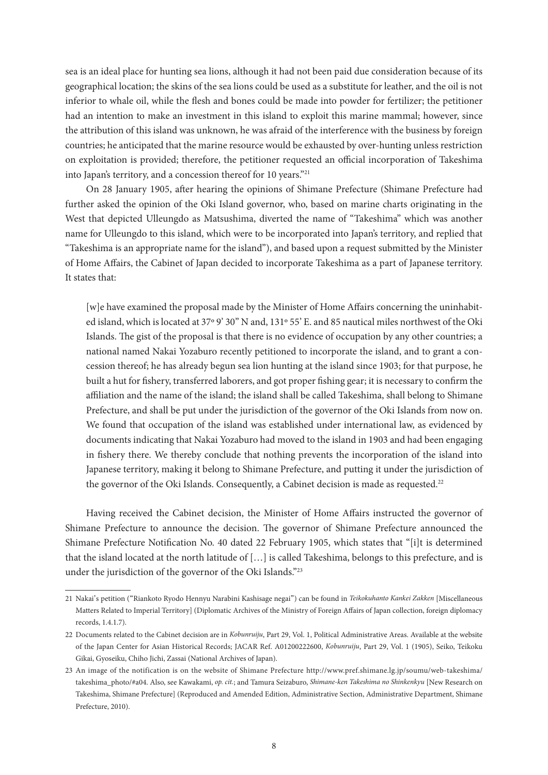sea is an ideal place for hunting sea lions, although it had not been paid due consideration because of its geographical location; the skins of the sea lions could be used as a substitute for leather, and the oil is not inferior to whale oil, while the flesh and bones could be made into powder for fertilizer; the petitioner had an intention to make an investment in this island to exploit this marine mammal; however, since the attribution of this island was unknown, he was afraid of the interference with the business by foreign countries; he anticipated that the marine resource would be exhausted by over-hunting unless restriction on exploitation is provided; therefore, the petitioner requested an official incorporation of Takeshima into Japan's territory, and a concession thereof for 10 years."21

On 28 January 1905, after hearing the opinions of Shimane Prefecture (Shimane Prefecture had further asked the opinion of the Oki Island governor, who, based on marine charts originating in the West that depicted Ulleungdo as Matsushima, diverted the name of "Takeshima" which was another name for Ulleungdo to this island, which were to be incorporated into Japan's territory, and replied that "Takeshima is an appropriate name for the island"), and based upon a request submitted by the Minister of Home Affairs, the Cabinet of Japan decided to incorporate Takeshima as a part of Japanese territory. It states that:

[w]e have examined the proposal made by the Minister of Home Affairs concerning the uninhabited island, which is located at 37º 9' 30" N and, 131º 55' E. and 85 nautical miles northwest of the Oki Islands. The gist of the proposal is that there is no evidence of occupation by any other countries; a national named Nakai Yozaburo recently petitioned to incorporate the island, and to grant a concession thereof; he has already begun sea lion hunting at the island since 1903; for that purpose, he built a hut for fishery, transferred laborers, and got proper fishing gear; it is necessary to confirm the affiliation and the name of the island; the island shall be called Takeshima, shall belong to Shimane Prefecture, and shall be put under the jurisdiction of the governor of the Oki Islands from now on. We found that occupation of the island was established under international law, as evidenced by documents indicating that Nakai Yozaburo had moved to the island in 1903 and had been engaging in fishery there. We thereby conclude that nothing prevents the incorporation of the island into Japanese territory, making it belong to Shimane Prefecture, and putting it under the jurisdiction of the governor of the Oki Islands. Consequently, a Cabinet decision is made as requested.<sup>22</sup>

Having received the Cabinet decision, the Minister of Home Affairs instructed the governor of Shimane Prefecture to announce the decision. The governor of Shimane Prefecture announced the Shimane Prefecture Notification No. 40 dated 22 February 1905, which states that "[i]t is determined that the island located at the north latitude of […] is called Takeshima, belongs to this prefecture, and is under the jurisdiction of the governor of the Oki Islands."23

<sup>21</sup> Nakai's petition ("Riankoto Ryodo Hennyu Narabini Kashisage negai") can be found in *Teikokuhanto Kankei Zakken* [Miscellaneous Matters Related to Imperial Territory] (Diplomatic Archives of the Ministry of Foreign Affairs of Japan collection, foreign diplomacy records, 1.4.1.7).

<sup>22</sup> Documents related to the Cabinet decision are in *Kobunruiju*, Part 29, Vol. 1, Political Administrative Areas. Available at the website of the Japan Center for Asian Historical Records; JACAR Ref. A01200222600, *Kobunruiju*, Part 29, Vol. 1 (1905), Seiko, Teikoku Gikai, Gyoseiku, Chiho Jichi, Zassai (National Archives of Japan).

<sup>23</sup> An image of the notification is on the website of Shimane Prefecture http://www.pref.shimane.lg.jp/soumu/web-takeshima/ takeshima\_photo/#a04. Also, see Kawakami, *op. cit.*; and Tamura Seizaburo, *Shimane-ken Takeshima no Shinkenkyu* [New Research on Takeshima, Shimane Prefecture] (Reproduced and Amended Edition, Administrative Section, Administrative Department, Shimane Prefecture, 2010).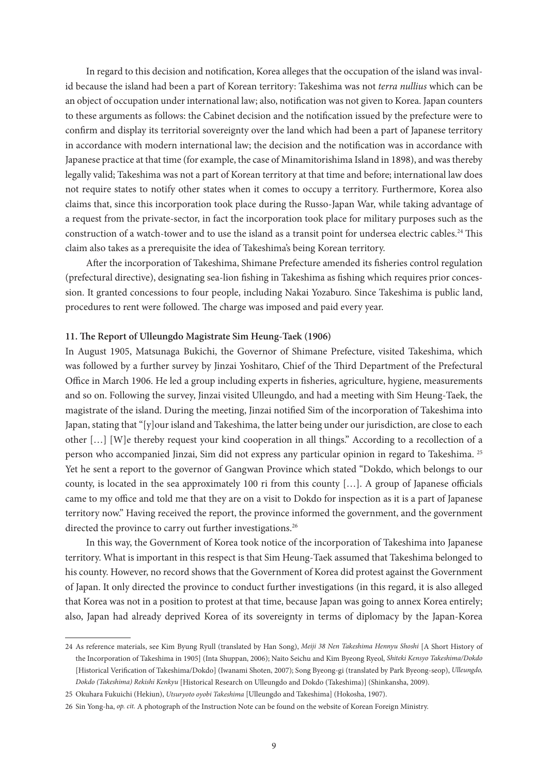In regard to this decision and notification, Korea alleges that the occupation of the island was invalid because the island had been a part of Korean territory: Takeshima was not *terra nullius* which can be an object of occupation under international law; also, notification was not given to Korea. Japan counters to these arguments as follows: the Cabinet decision and the notification issued by the prefecture were to confirm and display its territorial sovereignty over the land which had been a part of Japanese territory in accordance with modern international law; the decision and the notification was in accordance with Japanese practice at that time (for example, the case of Minamitorishima Island in 1898), and was thereby legally valid; Takeshima was not a part of Korean territory at that time and before; international law does not require states to notify other states when it comes to occupy a territory. Furthermore, Korea also claims that, since this incorporation took place during the Russo-Japan War, while taking advantage of a request from the private-sector, in fact the incorporation took place for military purposes such as the construction of a watch-tower and to use the island as a transit point for undersea electric cables.<sup>24</sup> This claim also takes as a prerequisite the idea of Takeshima's being Korean territory.

After the incorporation of Takeshima, Shimane Prefecture amended its fisheries control regulation (prefectural directive), designating sea-lion fishing in Takeshima as fishing which requires prior concession. It granted concessions to four people, including Nakai Yozaburo. Since Takeshima is public land, procedures to rent were followed. The charge was imposed and paid every year.

## **11. The Report of Ulleungdo Magistrate Sim Heung-Taek (1906)**

In August 1905, Matsunaga Bukichi, the Governor of Shimane Prefecture, visited Takeshima, which was followed by a further survey by Jinzai Yoshitaro, Chief of the Third Department of the Prefectural Office in March 1906. He led a group including experts in fisheries, agriculture, hygiene, measurements and so on. Following the survey, Jinzai visited Ulleungdo, and had a meeting with Sim Heung-Taek, the magistrate of the island. During the meeting, Jinzai notified Sim of the incorporation of Takeshima into Japan, stating that "[y]our island and Takeshima, the latter being under our jurisdiction, are close to each other […] [W]e thereby request your kind cooperation in all things." According to a recollection of a person who accompanied Jinzai, Sim did not express any particular opinion in regard to Takeshima. 25 Yet he sent a report to the governor of Gangwan Province which stated "Dokdo, which belongs to our county, is located in the sea approximately 100 ri from this county […]. A group of Japanese officials came to my office and told me that they are on a visit to Dokdo for inspection as it is a part of Japanese territory now." Having received the report, the province informed the government, and the government directed the province to carry out further investigations.<sup>26</sup>

In this way, the Government of Korea took notice of the incorporation of Takeshima into Japanese territory. What is important in this respect is that Sim Heung-Taek assumed that Takeshima belonged to his county. However, no record shows that the Government of Korea did protest against the Government of Japan. It only directed the province to conduct further investigations (in this regard, it is also alleged that Korea was not in a position to protest at that time, because Japan was going to annex Korea entirely; also, Japan had already deprived Korea of its sovereignty in terms of diplomacy by the Japan-Korea

<sup>24</sup> As reference materials, see Kim Byung Ryull (translated by Han Song), *Meiji 38 Nen Takeshima Hennyu Shoshi* [A Short History of the Incorporation of Takeshima in 1905] (Inta Shuppan, 2006); Naito Seichu and Kim Byeong Ryeol, *Shiteki Kensyo Takeshima/Dokdo*  [Historical Verification of Takeshima/Dokdo] (Iwanami Shoten, 2007); Song Byeong-gi (translated by Park Byeong-seop), *Ulleungdo, Dokdo (Takeshima) Rekishi Kenkyu* [Historical Research on Ulleungdo and Dokdo (Takeshima)] (Shinkansha, 2009).

<sup>25</sup> Okuhara Fukuichi (Hekiun), *Utsuryoto oyobi Takeshima* [Ulleungdo and Takeshima] (Hokosha, 1907).

<sup>26</sup> Sin Yong-ha, *op. cit.* A photograph of the Instruction Note can be found on the website of Korean Foreign Ministry.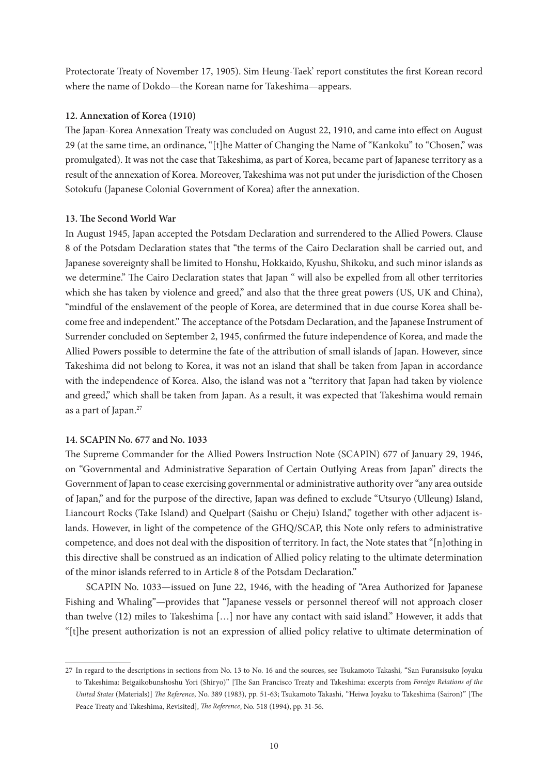Protectorate Treaty of November 17, 1905). Sim Heung-Taek' report constitutes the first Korean record where the name of Dokdo—the Korean name for Takeshima—appears.

# **12. Annexation of Korea (1910)**

The Japan-Korea Annexation Treaty was concluded on August 22, 1910, and came into effect on August 29 (at the same time, an ordinance, "[t]he Matter of Changing the Name of "Kankoku" to "Chosen," was promulgated). It was not the case that Takeshima, as part of Korea, became part of Japanese territory as a result of the annexation of Korea. Moreover, Takeshima was not put under the jurisdiction of the Chosen Sotokufu (Japanese Colonial Government of Korea) after the annexation.

# **13. The Second World War**

In August 1945, Japan accepted the Potsdam Declaration and surrendered to the Allied Powers. Clause 8 of the Potsdam Declaration states that "the terms of the Cairo Declaration shall be carried out, and Japanese sovereignty shall be limited to Honshu, Hokkaido, Kyushu, Shikoku, and such minor islands as we determine." The Cairo Declaration states that Japan " will also be expelled from all other territories which she has taken by violence and greed," and also that the three great powers (US, UK and China), "mindful of the enslavement of the people of Korea, are determined that in due course Korea shall become free and independent." The acceptance of the Potsdam Declaration, and the Japanese Instrument of Surrender concluded on September 2, 1945, confirmed the future independence of Korea, and made the Allied Powers possible to determine the fate of the attribution of small islands of Japan. However, since Takeshima did not belong to Korea, it was not an island that shall be taken from Japan in accordance with the independence of Korea. Also, the island was not a "territory that Japan had taken by violence and greed," which shall be taken from Japan. As a result, it was expected that Takeshima would remain as a part of Japan.<sup>27</sup>

# **14. SCAPIN No. 677 and No. 1033**

The Supreme Commander for the Allied Powers Instruction Note (SCAPIN) 677 of January 29, 1946, on "Governmental and Administrative Separation of Certain Outlying Areas from Japan" directs the Government of Japan to cease exercising governmental or administrative authority over "any area outside of Japan," and for the purpose of the directive, Japan was defined to exclude "Utsuryo (Ulleung) Island, Liancourt Rocks (Take Island) and Quelpart (Saishu or Cheju) Island," together with other adjacent islands. However, in light of the competence of the GHQ/SCAP, this Note only refers to administrative competence, and does not deal with the disposition of territory. In fact, the Note states that "[n]othing in this directive shall be construed as an indication of Allied policy relating to the ultimate determination of the minor islands referred to in Article 8 of the Potsdam Declaration."

SCAPIN No. 1033—issued on June 22, 1946, with the heading of "Area Authorized for Japanese Fishing and Whaling"—provides that "Japanese vessels or personnel thereof will not approach closer than twelve (12) miles to Takeshima […] nor have any contact with said island." However, it adds that "[t]he present authorization is not an expression of allied policy relative to ultimate determination of

<sup>27</sup> In regard to the descriptions in sections from No. 13 to No. 16 and the sources, see Tsukamoto Takashi, "San Furansisuko Joyaku to Takeshima: Beigaikobunshoshu Yori (Shiryo)" [The San Francisco Treaty and Takeshima: excerpts from *Foreign Relations of the United States* (Materials)] *The Reference*, No. 389 (1983), pp. 51-63; Tsukamoto Takashi, "Heiwa Joyaku to Takeshima (Sairon)" [The Peace Treaty and Takeshima, Revisited], *The Reference*, No. 518 (1994), pp. 31-56.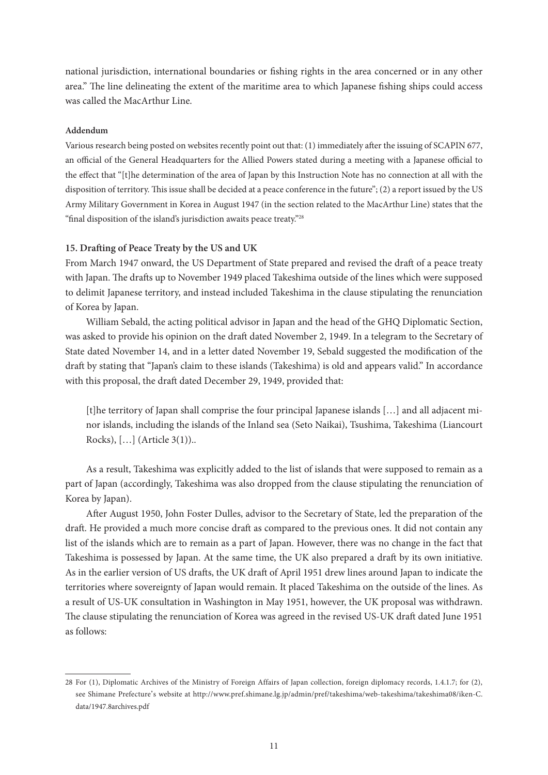national jurisdiction, international boundaries or fishing rights in the area concerned or in any other area." The line delineating the extent of the maritime area to which Japanese fishing ships could access was called the MacArthur Line.

## **Addendum**

Various research being posted on websites recently point out that: (1) immediately after the issuing of SCAPIN 677, an official of the General Headquarters for the Allied Powers stated during a meeting with a Japanese official to the effect that "[t]he determination of the area of Japan by this Instruction Note has no connection at all with the disposition of territory. This issue shall be decided at a peace conference in the future"; (2) a report issued by the US Army Military Government in Korea in August 1947 (in the section related to the MacArthur Line) states that the "final disposition of the island's jurisdiction awaits peace treaty."28

# **15. Drafting of Peace Treaty by the US and UK**

From March 1947 onward, the US Department of State prepared and revised the draft of a peace treaty with Japan. The drafts up to November 1949 placed Takeshima outside of the lines which were supposed to delimit Japanese territory, and instead included Takeshima in the clause stipulating the renunciation of Korea by Japan.

William Sebald, the acting political advisor in Japan and the head of the GHQ Diplomatic Section, was asked to provide his opinion on the draft dated November 2, 1949. In a telegram to the Secretary of State dated November 14, and in a letter dated November 19, Sebald suggested the modification of the draft by stating that "Japan's claim to these islands (Takeshima) is old and appears valid." In accordance with this proposal, the draft dated December 29, 1949, provided that:

[t]he territory of Japan shall comprise the four principal Japanese islands […] and all adjacent minor islands, including the islands of the Inland sea (Seto Naikai), Tsushima, Takeshima (Liancourt Rocks), […] (Article 3(1))..

As a result, Takeshima was explicitly added to the list of islands that were supposed to remain as a part of Japan (accordingly, Takeshima was also dropped from the clause stipulating the renunciation of Korea by Japan).

After August 1950, John Foster Dulles, advisor to the Secretary of State, led the preparation of the draft. He provided a much more concise draft as compared to the previous ones. It did not contain any list of the islands which are to remain as a part of Japan. However, there was no change in the fact that Takeshima is possessed by Japan. At the same time, the UK also prepared a draft by its own initiative. As in the earlier version of US drafts, the UK draft of April 1951 drew lines around Japan to indicate the territories where sovereignty of Japan would remain. It placed Takeshima on the outside of the lines. As a result of US-UK consultation in Washington in May 1951, however, the UK proposal was withdrawn. The clause stipulating the renunciation of Korea was agreed in the revised US-UK draft dated June 1951 as follows:

<sup>28</sup> For (1), Diplomatic Archives of the Ministry of Foreign Affairs of Japan collection, foreign diplomacy records, 1.4.1.7; for (2), see Shimane Prefecture's website at http://www.pref.shimane.lg.jp/admin/pref/takeshima/web-takeshima/takeshima08/iken-C. data/1947.8archives.pdf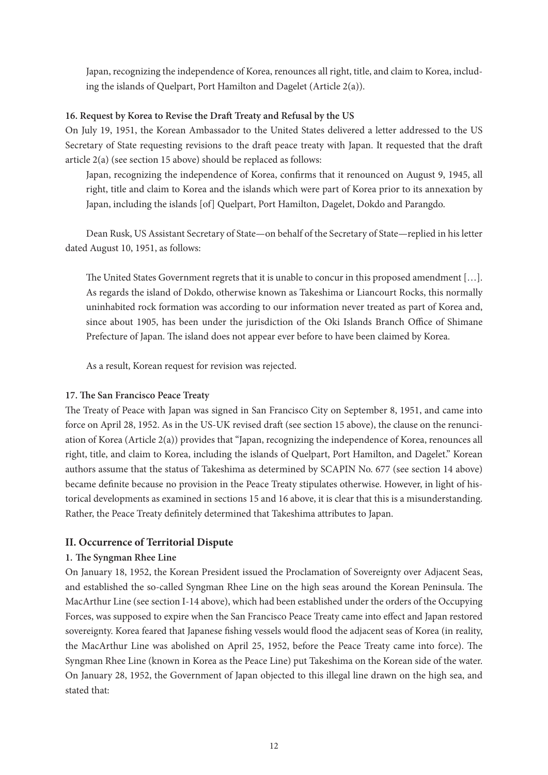Japan, recognizing the independence of Korea, renounces all right, title, and claim to Korea, including the islands of Quelpart, Port Hamilton and Dagelet (Article 2(a)).

# **16. Request by Korea to Revise the Draft Treaty and Refusal by the US**

On July 19, 1951, the Korean Ambassador to the United States delivered a letter addressed to the US Secretary of State requesting revisions to the draft peace treaty with Japan. It requested that the draft article 2(a) (see section 15 above) should be replaced as follows:

Japan, recognizing the independence of Korea, confirms that it renounced on August 9, 1945, all right, title and claim to Korea and the islands which were part of Korea prior to its annexation by Japan, including the islands [of] Quelpart, Port Hamilton, Dagelet, Dokdo and Parangdo.

Dean Rusk, US Assistant Secretary of State—on behalf of the Secretary of State—replied in his letter dated August 10, 1951, as follows:

The United States Government regrets that it is unable to concur in this proposed amendment […]. As regards the island of Dokdo, otherwise known as Takeshima or Liancourt Rocks, this normally uninhabited rock formation was according to our information never treated as part of Korea and, since about 1905, has been under the jurisdiction of the Oki Islands Branch Office of Shimane Prefecture of Japan. The island does not appear ever before to have been claimed by Korea.

As a result, Korean request for revision was rejected.

# **17. The San Francisco Peace Treaty**

The Treaty of Peace with Japan was signed in San Francisco City on September 8, 1951, and came into force on April 28, 1952. As in the US-UK revised draft (see section 15 above), the clause on the renunciation of Korea (Article 2(a)) provides that "Japan, recognizing the independence of Korea, renounces all right, title, and claim to Korea, including the islands of Quelpart, Port Hamilton, and Dagelet." Korean authors assume that the status of Takeshima as determined by SCAPIN No. 677 (see section 14 above) became definite because no provision in the Peace Treaty stipulates otherwise. However, in light of historical developments as examined in sections 15 and 16 above, it is clear that this is a misunderstanding. Rather, the Peace Treaty definitely determined that Takeshima attributes to Japan.

# **II. Occurrence of Territorial Dispute**

# **1. The Syngman Rhee Line**

On January 18, 1952, the Korean President issued the Proclamation of Sovereignty over Adjacent Seas, and established the so-called Syngman Rhee Line on the high seas around the Korean Peninsula. The MacArthur Line (see section I-14 above), which had been established under the orders of the Occupying Forces, was supposed to expire when the San Francisco Peace Treaty came into effect and Japan restored sovereignty. Korea feared that Japanese fishing vessels would flood the adjacent seas of Korea (in reality, the MacArthur Line was abolished on April 25, 1952, before the Peace Treaty came into force). The Syngman Rhee Line (known in Korea as the Peace Line) put Takeshima on the Korean side of the water. On January 28, 1952, the Government of Japan objected to this illegal line drawn on the high sea, and stated that: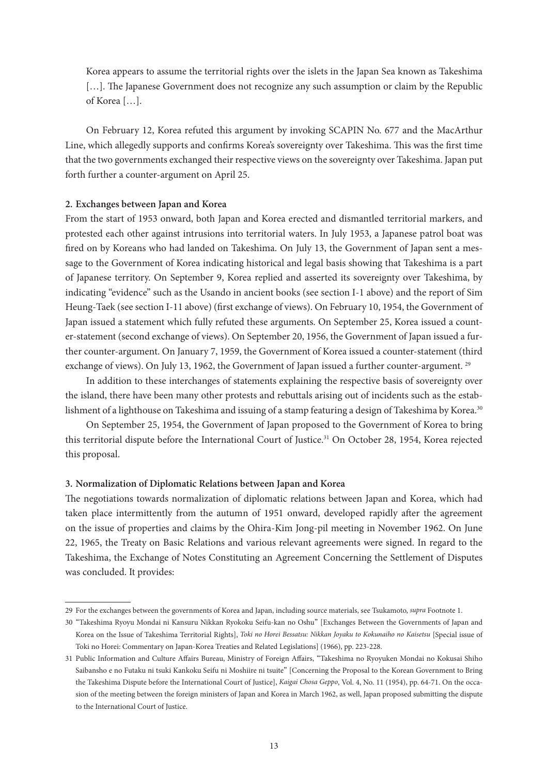Korea appears to assume the territorial rights over the islets in the Japan Sea known as Takeshima [...]. The Japanese Government does not recognize any such assumption or claim by the Republic of Korea […].

On February 12, Korea refuted this argument by invoking SCAPIN No. 677 and the MacArthur Line, which allegedly supports and confirms Korea's sovereignty over Takeshima. This was the first time that the two governments exchanged their respective views on the sovereignty over Takeshima. Japan put forth further a counter-argument on April 25.

## **2. Exchanges between Japan and Korea**

From the start of 1953 onward, both Japan and Korea erected and dismantled territorial markers, and protested each other against intrusions into territorial waters. In July 1953, a Japanese patrol boat was fired on by Koreans who had landed on Takeshima. On July 13, the Government of Japan sent a message to the Government of Korea indicating historical and legal basis showing that Takeshima is a part of Japanese territory. On September 9, Korea replied and asserted its sovereignty over Takeshima, by indicating "evidence" such as the Usando in ancient books (see section I-1 above) and the report of Sim Heung-Taek (see section I-11 above) (first exchange of views). On February 10, 1954, the Government of Japan issued a statement which fully refuted these arguments. On September 25, Korea issued a counter-statement (second exchange of views). On September 20, 1956, the Government of Japan issued a further counter-argument. On January 7, 1959, the Government of Korea issued a counter-statement (third exchange of views). On July 13, 1962, the Government of Japan issued a further counter-argument. <sup>29</sup>

In addition to these interchanges of statements explaining the respective basis of sovereignty over the island, there have been many other protests and rebuttals arising out of incidents such as the establishment of a lighthouse on Takeshima and issuing of a stamp featuring a design of Takeshima by Korea.<sup>30</sup>

On September 25, 1954, the Government of Japan proposed to the Government of Korea to bring this territorial dispute before the International Court of Justice.<sup>31</sup> On October 28, 1954, Korea rejected this proposal.

## **3. Normalization of Diplomatic Relations between Japan and Korea**

The negotiations towards normalization of diplomatic relations between Japan and Korea, which had taken place intermittently from the autumn of 1951 onward, developed rapidly after the agreement on the issue of properties and claims by the Ohira-Kim Jong-pil meeting in November 1962. On June 22, 1965, the Treaty on Basic Relations and various relevant agreements were signed. In regard to the Takeshima, the Exchange of Notes Constituting an Agreement Concerning the Settlement of Disputes was concluded. It provides:

<sup>29</sup> For the exchanges between the governments of Korea and Japan, including source materials, see Tsukamoto, *supra* Footnote 1.

<sup>30</sup> "Takeshima Ryoyu Mondai ni Kansuru Nikkan Ryokoku Seifu-kan no Oshu" [Exchanges Between the Governments of Japan and Korea on the Issue of Takeshima Territorial Rights], *Toki no Horei Bessatsu: Nikkan Joyaku to Kokunaiho no Kaisetsu* [Special issue of Toki no Horei: Commentary on Japan-Korea Treaties and Related Legislations] (1966), pp. 223-228.

<sup>31</sup> Public Information and Culture Affairs Bureau, Ministry of Foreign Affairs, "Takeshima no Ryoyuken Mondai no Kokusai Shiho Saibansho e no Futaku ni tsuki Kankoku Seifu ni Moshiire ni tsuite" [Concerning the Proposal to the Korean Government to Bring the Takeshima Dispute before the International Court of Justice], *Kaigai Chosa Geppo*, Vol. 4, No. 11 (1954), pp. 64-71. On the occasion of the meeting between the foreign ministers of Japan and Korea in March 1962, as well, Japan proposed submitting the dispute to the International Court of Justice.